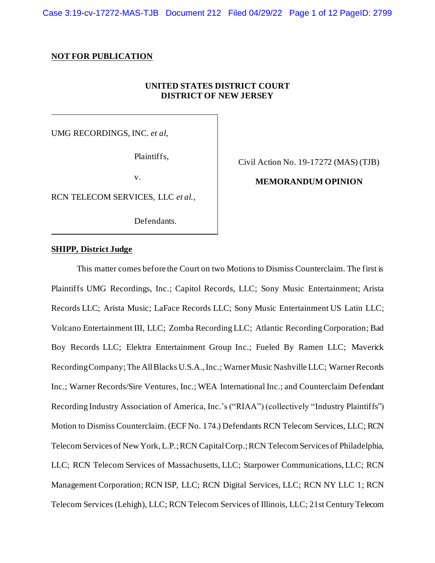Case 3:19-cv-17272-MAS-TJB Document 212 Filed 04/29/22 Page 1 of 12 PageID: 2799

#### **NOT FOR PUBLICATION**

### **UNITED STATES DISTRICT COURT DISTRICT OF NEW JERSEY**

UMG RECORDINGS, INC. *et al*,

Plaintiffs,

v.

RCN TELECOM SERVICES, LLC *et al.*,

Defendants.

Civil Action No. 19-17272 (MAS) (TJB)

### **MEMORANDUM OPINION**

### **SHIPP, District Judge**

This matter comes before the Court on two Motions to Dismiss Counterclaim. The first is Plaintiffs UMG Recordings, Inc.; Capitol Records, LLC; Sony Music Entertainment; Arista Records LLC; Arista Music; LaFace Records LLC; Sony Music Entertainment US Latin LLC; Volcano Entertainment III, LLC; Zomba Recording LLC; Atlantic Recording Corporation; Bad Boy Records LLC; Elektra Entertainment Group Inc.; Fueled By Ramen LLC; Maverick Recording Company;The All Blacks U.S.A., Inc.; Warner Music Nashville LLC; Warner Records Inc.; Warner Records/Sire Ventures, Inc.; WEA International Inc.; and Counterclaim Defendant Recording Industry Association of America, Inc.'s ("RIAA") (collectively "Industry Plaintiffs") Motion to Dismiss Counterclaim. (ECF No. 174.) Defendants RCN Telecom Services, LLC; RCN Telecom Services of New York, L.P.;RCN Capital Corp.;RCN Telecom Services of Philadelphia, LLC; RCN Telecom Services of Massachusetts, LLC; Starpower Communications, LLC; RCN Management Corporation; RCN ISP, LLC; RCN Digital Services, LLC; RCN NY LLC 1; RCN Telecom Services (Lehigh), LLC; RCN Telecom Services of Illinois, LLC; 21st Century Telecom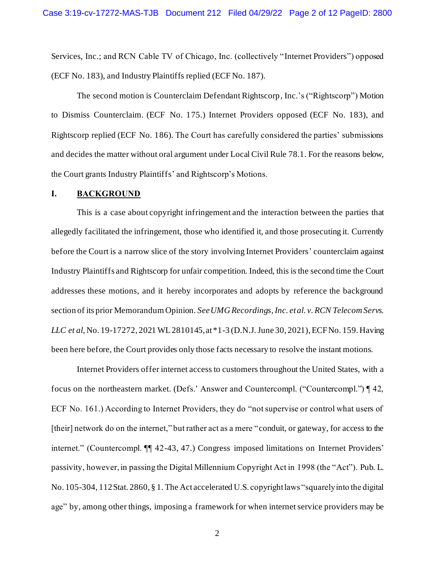Services, Inc.; and RCN Cable TV of Chicago, Inc. (collectively "Internet Providers") opposed (ECF No. 183), and Industry Plaintiffs replied (ECF No. 187).

The second motion is Counterclaim Defendant Rightscorp, Inc.'s ("Rightscorp") Motion to Dismiss Counterclaim. (ECF No. 175.) Internet Providers opposed (ECF No. 183), and Rightscorp replied (ECF No. 186). The Court has carefully considered the parties' submissions and decides the matter without oral argument under Local Civil Rule 78.1. For the reasons below, the Court grants Industry Plaintiffs' and Rightscorp's Motions.

### **I. BACKGROUND**

This is a case about copyright infringement and the interaction between the parties that allegedly facilitated the infringement, those who identified it, and those prosecuting it. Currently before the Court is a narrow slice of the story involving Internet Providers' counterclaim against Industry Plaintiffs and Rightscorp for unfair competition. Indeed, this is the second time the Court addresses these motions, and it hereby incorporates and adopts by reference the background section of its prior Memorandum Opinion. *See UMG Recordings, Inc. et al. v. RCN Telecom Servs. LLC et al*, No. 19-17272, 2021 WL 2810145, at \*1-3 (D.N.J. June 30, 2021), ECF No. 159. Having been here before, the Court provides only those facts necessary to resolve the instant motions.

Internet Providers offer internet access to customers throughout the United States, with a focus on the northeastern market. (Defs.' Answer and Countercompl. ("Countercompl.") ¶ 42, ECF No. 161.) According to Internet Providers, they do "not supervise or control what users of [their] network do on the internet," but rather act as a mere "conduit, or gateway, for access to the internet." (Countercompl. ¶¶ 42-43, 47.) Congress imposed limitations on Internet Providers' passivity, however, in passing the Digital Millennium Copyright Act in 1998 (the "Act"). Pub. L. No. 105-304, 112 Stat. 2860, § 1. The Act accelerated U.S. copyright laws "squarely into the digital age" by, among other things, imposing a framework for when internet service providers may be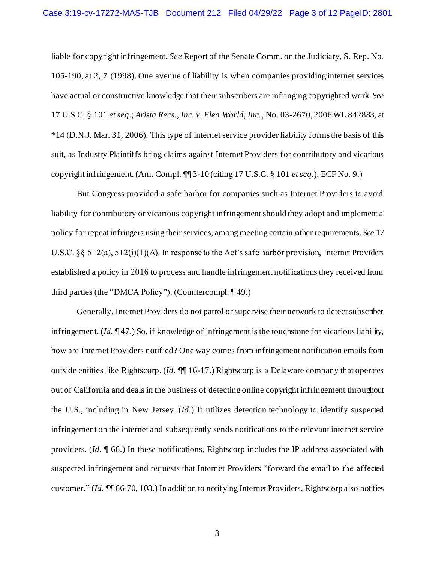liable for copyright infringement. *See* Report of the Senate Comm. on the Judiciary, S. Rep. No. 105-190, at 2, 7 (1998). One avenue of liability is when companies providing internet services have actual or constructive knowledge that their subscribers are infringing copyrighted work. *See* 17 U.S.C. § 101 *et seq*.; *Arista Recs., Inc. v. Flea World, Inc.*, No. 03-2670, 2006 WL 842883, at \*14 (D.N.J. Mar. 31, 2006). This type of internet service provider liability forms the basis of this suit, as Industry Plaintiffs bring claims against Internet Providers for contributory and vicarious copyright infringement. (Am. Compl. ¶¶ 3-10 (citing 17 U.S.C. § 101 *et seq.*), ECF No. 9.)

But Congress provided a safe harbor for companies such as Internet Providers to avoid liability for contributory or vicarious copyright infringement should they adopt and implement a policy for repeat infringers using their services, among meeting certain other requirements. *See* 17 U.S.C. §§ 512(a), 512(i)(1)(A). In response to the Act's safe harbor provision, Internet Providers established a policy in 2016 to process and handle infringement notifications they received from third parties (the "DMCA Policy"). (Countercompl. ¶ 49.)

Generally, Internet Providers do not patrol or supervise their network to detect subscriber infringement. (*Id.* ¶ 47.) So, if knowledge of infringement is the touchstone for vicarious liability, how are Internet Providers notified? One way comes from infringement notification emails from outside entities like Rightscorp. (*Id.* ¶¶ 16-17.) Rightscorp is a Delaware company that operates out of California and deals in the business of detecting online copyright infringement throughout the U.S., including in New Jersey. (*Id.*) It utilizes detection technology to identify suspected infringement on the internet and subsequently sends notifications to the relevant internet service providers. (*Id.* ¶ 66.) In these notifications, Rightscorp includes the IP address associated with suspected infringement and requests that Internet Providers "forward the email to the affected customer." (*Id.* ¶¶ 66-70, 108.) In addition to notifying Internet Providers, Rightscorp also notifies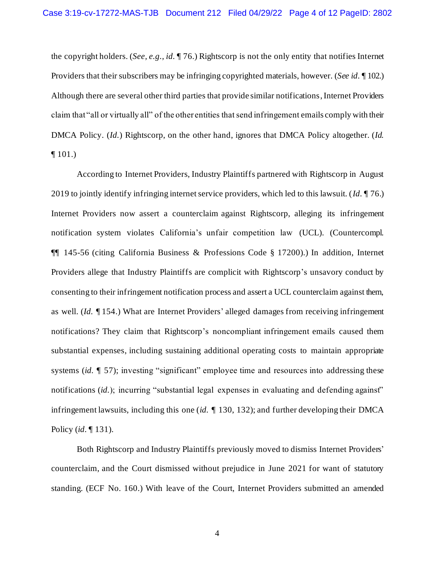the copyright holders. (*See, e.g., id.* ¶ 76.) Rightscorp is not the only entity that notifies Internet Providers that their subscribers may be infringing copyrighted materials, however. (*See id.* ¶ 102.) Although there are several other third parties that provide similar notifications, Internet Providers claim that "all or virtually all" of the other entities that send infringement emails comply with their DMCA Policy. (*Id.*) Rightscorp, on the other hand, ignores that DMCA Policy altogether. (*Id.*  $\P$  101.)

According to Internet Providers, Industry Plaintiffs partnered with Rightscorp in August 2019 to jointly identify infringing internet service providers, which led to this lawsuit. (*Id.* ¶ 76.) Internet Providers now assert a counterclaim against Rightscorp, alleging its infringement notification system violates California's unfair competition law (UCL). (Countercompl. ¶¶ 145-56 (citing California Business & Professions Code § 17200).) In addition, Internet Providers allege that Industry Plaintiffs are complicit with Rightscorp's unsavory conduct by consenting to their infringement notification process and assert a UCL counterclaim against them, as well. (*Id.* ¶ 154.) What are Internet Providers' alleged damages from receiving infringement notifications? They claim that Rightscorp's noncompliant infringement emails caused them substantial expenses, including sustaining additional operating costs to maintain appropriate systems (*id.*  $\llbracket$  57); investing "significant" employee time and resources into addressing these notifications (*id.*); incurring "substantial legal expenses in evaluating and defending against" infringement lawsuits, including this one (*id.* ¶ 130, 132); and further developing their DMCA Policy (*id.* ¶ 131).

Both Rightscorp and Industry Plaintiffs previously moved to dismiss Internet Providers' counterclaim, and the Court dismissed without prejudice in June 2021 for want of statutory standing. (ECF No. 160.) With leave of the Court, Internet Providers submitted an amended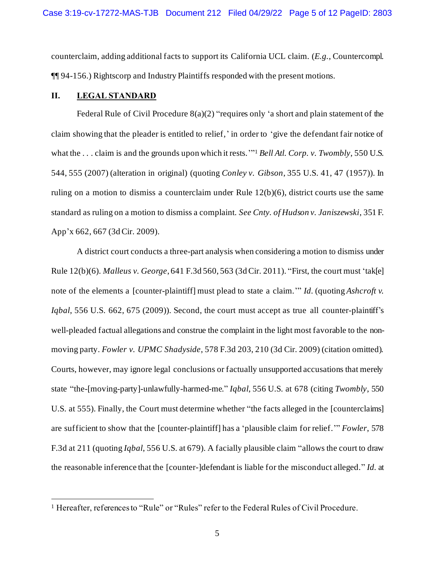counterclaim, adding additional facts to support its California UCL claim. (*E.g.*, Countercompl. ¶¶ 94-156.) Rightscorp and Industry Plaintiffs responded with the present motions.

# **II. LEGAL STANDARD**

Federal Rule of Civil Procedure 8(a)(2) "requires only 'a short and plain statement of the claim showing that the pleader is entitled to relief,' in order to 'give the defendant fair notice of what the . . . claim is and the grounds upon which it rests.'" <sup>1</sup> *Bell Atl. Corp. v. Twombly*, 550 U.S. 544, 555 (2007) (alteration in original) (quoting *Conley v. Gibson*, 355 U.S. 41, 47 (1957)). In ruling on a motion to dismiss a counterclaim under Rule 12(b)(6), district courts use the same standard as ruling on a motion to dismiss a complaint. *See Cnty. of Hudson v. Janiszewski*, 351 F. App'x 662, 667 (3d Cir. 2009).

A district court conducts a three-part analysis when considering a motion to dismiss under Rule 12(b)(6). *Malleus v. George*, 641 F.3d 560, 563 (3d Cir. 2011). "First, the court must 'tak[e] note of the elements a [counter-plaintiff] must plead to state a claim.'" *Id.* (quoting *Ashcroft v. Iqbal*, 556 U.S. 662, 675 (2009)). Second, the court must accept as true all counter-plaintiff's well-pleaded factual allegations and construe the complaint in the light most favorable to the nonmoving party. *Fowler v. UPMC Shadyside*, 578 F.3d 203, 210 (3d Cir. 2009) (citation omitted). Courts, however, may ignore legal conclusions or factually unsupported accusations that merely state "the-[moving-party]-unlawfully-harmed-me." *Iqbal*, 556 U.S. at 678 (citing *Twombly*, 550 U.S. at 555). Finally, the Court must determine whether "the facts alleged in the [counterclaims] are sufficient to show that the [counter-plaintiff] has a 'plausible claim for relief.'" *Fowler*, 578 F.3d at 211 (quoting *Iqbal*, 556 U.S. at 679). A facially plausible claim "allows the court to draw the reasonable inference that the [counter-]defendant is liable for the misconduct alleged." *Id.* at

<sup>&</sup>lt;sup>1</sup> Hereafter, references to "Rule" or "Rules" refer to the Federal Rules of Civil Procedure.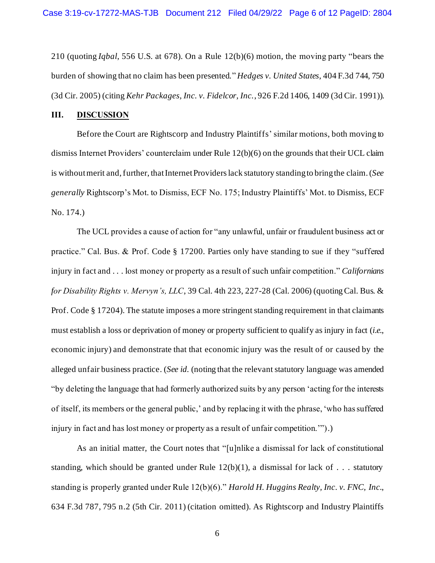210 (quoting *Iqbal*, 556 U.S. at 678). On a Rule 12(b)(6) motion, the moving party "bears the burden of showing that no claim has been presented." *Hedges v. United States*, 404 F.3d 744, 750 (3d Cir. 2005) (citing *Kehr Packages, Inc. v. Fidelcor, Inc.*, 926 F.2d 1406, 1409 (3d Cir. 1991)).

#### **III. DISCUSSION**

Before the Court are Rightscorp and Industry Plaintiffs' similar motions, both moving to dismiss Internet Providers' counterclaim under Rule 12(b)(6) on the grounds that their UCL claim is without merit and, further, that Internet Providers lack statutory standing to bring the claim. (*See generally* Rightscorp's Mot. to Dismiss, ECF No. 175; Industry Plaintiffs' Mot. to Dismiss, ECF No. 174.)

The UCL provides a cause of action for "any unlawful, unfair or fraudulent business act or practice." Cal. Bus. & Prof. Code § 17200. Parties only have standing to sue if they "suffered injury in fact and . . . lost money or property as a result of such unfair competition." *Californians for Disability Rights v. Mervyn's, LLC*, 39 Cal. 4th 223, 227-28 (Cal. 2006) (quoting Cal. Bus. & Prof. Code § 17204). The statute imposes a more stringent standing requirement in that claimants must establish a loss or deprivation of money or property sufficient to qualify as injury in fact (*i.e.*, economic injury) and demonstrate that that economic injury was the result of or caused by the alleged unfair business practice. (*See id.* (noting that the relevant statutory language was amended "by deleting the language that had formerly authorized suits by any person 'acting for the interests of itself, its members or the general public,' and by replacing it with the phrase, 'who has suffered injury in fact and has lost money or property as a result of unfair competition.'").)

As an initial matter, the Court notes that "[u]nlike a dismissal for lack of constitutional standing, which should be granted under Rule  $12(b)(1)$ , a dismissal for lack of . . . statutory standing is properly granted under Rule 12(b)(6)." *Harold H. Huggins Realty, Inc. v. FNC, Inc.*, 634 F.3d 787, 795 n.2 (5th Cir. 2011) (citation omitted). As Rightscorp and Industry Plaintiffs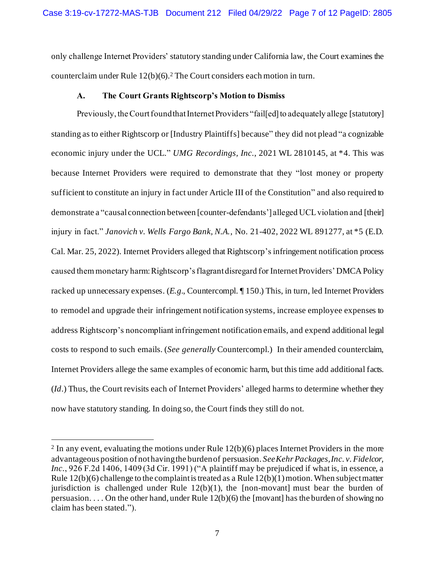only challenge Internet Providers' statutory standing under California law, the Court examines the counterclaim under Rule 12(b)(6).<sup>2</sup> The Court considers each motion in turn.

## **A. The Court Grants Rightscorp's Motion to Dismiss**

Previously, the Court found that Internet Providers "fail[ed] to adequately allege [statutory] standing as to either Rightscorp or [Industry Plaintiffs] because" they did not plead "a cognizable economic injury under the UCL." *UMG Recordings, Inc.*, 2021 WL 2810145, at \*4. This was because Internet Providers were required to demonstrate that they "lost money or property sufficient to constitute an injury in fact under Article III of the Constitution" and also required to demonstrate a "causal connection between [counter-defendants'] alleged UCL violation and [their] injury in fact." *Janovich v. Wells Fargo Bank, N.A.*, No. 21-402, 2022 WL 891277, at \*5 (E.D. Cal. Mar. 25, 2022). Internet Providers alleged that Rightscorp's infringement notification process caused them monetary harm: Rightscorp's flagrant disregard for Internet Providers'DMCAPolicy racked up unnecessary expenses. (*E.g.*, Countercompl. ¶ 150.) This, in turn, led Internet Providers to remodel and upgrade their infringement notification systems, increase employee expenses to address Rightscorp's noncompliant infringement notification emails, and expend additional legal costs to respond to such emails. (*See generally* Countercompl.) In their amended counterclaim, Internet Providers allege the same examples of economic harm, but this time add additional facts. (*Id*.) Thus, the Court revisits each of Internet Providers' alleged harms to determine whether they now have statutory standing. In doing so, the Court finds they still do not.

 $2 \text{ In any event, evaluating the motions under Rule } 12(b)(6)$  places Internet Providers in the more advantageous position of not having the burden of persuasion. *See Kehr Packages, Inc. v. Fidelcor,*  Inc., 926 F.2d 1406, 1409 (3d Cir. 1991) ("A plaintiff may be prejudiced if what is, in essence, a Rule  $12(b)(6)$  challenge to the complaint is treated as a Rule  $12(b)(1)$  motion. When subject matter jurisdiction is challenged under Rule  $12(b)(1)$ , the [non-movant] must bear the burden of persuasion. . . . On the other hand, under Rule 12(b)(6) the [movant] has the burden of showing no claim has been stated.").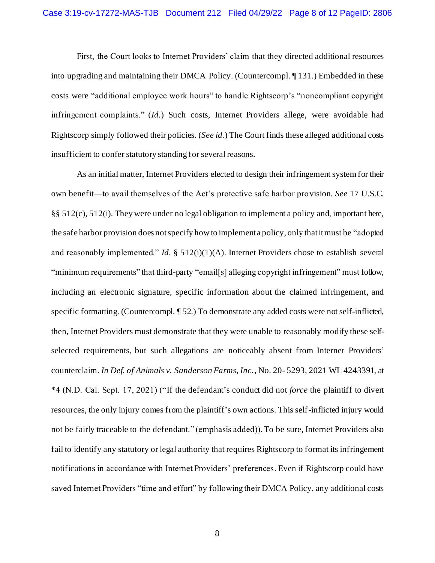First, the Court looks to Internet Providers' claim that they directed additional resources into upgrading and maintaining their DMCA Policy. (Countercompl. ¶ 131.) Embedded in these costs were "additional employee work hours" to handle Rightscorp's "noncompliant copyright infringement complaints." (*Id.*) Such costs, Internet Providers allege, were avoidable had Rightscorp simply followed their policies. (*See id.*) The Court finds these alleged additional costs insufficient to confer statutory standing for several reasons.

As an initial matter, Internet Providers elected to design their infringement system for their own benefit—to avail themselves of the Act's protective safe harbor provision. *See* 17 U.S.C. §§ 512(c), 512(i). They were under no legal obligation to implement a policy and, important here, the safe harbor provision does not specify how to implement a policy, only that it must be "adopted and reasonably implemented." *Id.* § 512(i)(1)(A). Internet Providers chose to establish several "minimum requirements" that third-party "email[s] alleging copyright infringement" must follow, including an electronic signature, specific information about the claimed infringement, and specific formatting. (Countercompl. ¶ 52.) To demonstrate any added costs were not self-inflicted, then, Internet Providers must demonstrate that they were unable to reasonably modify these selfselected requirements, but such allegations are noticeably absent from Internet Providers' counterclaim. *In Def. of Animals v. Sanderson Farms, Inc.*, No. 20- 5293, 2021 WL 4243391, at \*4 (N.D. Cal. Sept. 17, 2021) ("If the defendant's conduct did not *force* the plaintiff to divert resources, the only injury comes from the plaintiff's own actions. This self-inflicted injury would not be fairly traceable to the defendant." (emphasis added)). To be sure, Internet Providers also fail to identify any statutory or legal authority that requires Rightscorp to format its infringement notifications in accordance with Internet Providers' preferences. Even if Rightscorp could have saved Internet Providers "time and effort" by following their DMCA Policy, any additional costs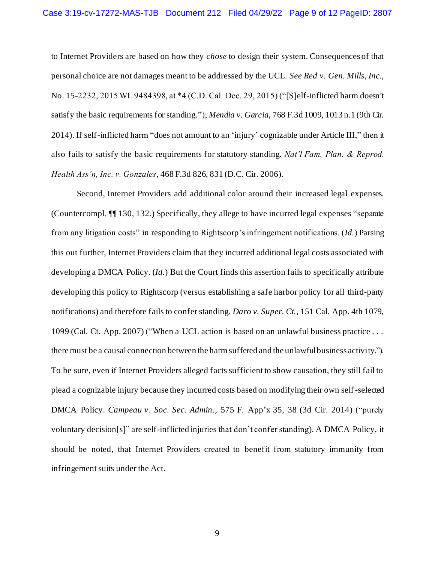to Internet Providers are based on how they *chose* to design their system. Consequences of that personal choice are not damages meant to be addressed by the UCL. *See Red v. Gen. Mills, Inc.*, No. 15-2232, 2015 WL 9484398, at \*4 (C.D. Cal. Dec. 29, 2015) ("[S]elf-inflicted harm doesn't satisfy the basic requirements for standing."); *Mendia v. Garcia*, 768 F.3d 1009, 1013 n.1 (9th Cir. 2014). If self-inflicted harm "does not amount to an 'injury' cognizable under Article III," then it also fails to satisfy the basic requirements for statutory standing. *Nat'l Fam. Plan. & Reprod. Health Ass'n, Inc. v. Gonzales*, 468 F.3d 826, 831 (D.C. Cir. 2006).

Second, Internet Providers add additional color around their increased legal expenses. (Countercompl. ¶¶ 130, 132.) Specifically, they allege to have incurred legal expenses "separate from any litigation costs" in responding to Rightscorp's infringement notifications. (*Id.*) Parsing this out further, Internet Providers claim that they incurred additional legal costs associated with developing a DMCA Policy. (*Id.*) But the Court finds this assertion fails to specifically attribute developing this policy to Rightscorp (versus establishing a safe harbor policy for all third-party notifications) and therefore fails to confer standing. *Daro v. Super. Ct.*, 151 Cal. App. 4th 1079, 1099 (Cal. Ct. App. 2007) ("When a UCL action is based on an unlawful business practice . . . there must be a causal connection between the harm suffered and the unlawful business activity."). To be sure, even if Internet Providers alleged facts sufficient to show causation, they still fail to plead a cognizable injury because they incurred costs based on modifying their own self-selected DMCA Policy. *Campeau v. Soc. Sec. Admin.*, 575 F. App'x 35, 38 (3d Cir. 2014) ("purely voluntary decision[s]" are self-inflicted injuries that don't confer standing). A DMCA Policy, it should be noted, that Internet Providers created to benefit from statutory immunity from infringement suits under the Act.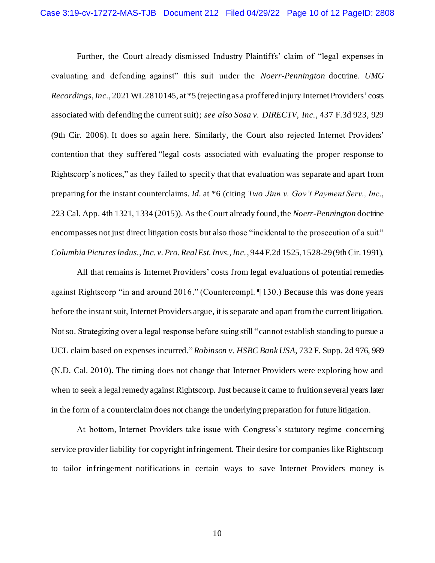Further, the Court already dismissed Industry Plaintiffs' claim of "legal expenses in evaluating and defending against" this suit under the *Noerr-Pennington* doctrine. *UMG Recordings,Inc.*, 2021 WL 2810145, at \*5 (rejecting as a proffered injury Internet Providers' costs associated with defending the current suit); *see also Sosa v. DIRECTV, Inc.*, 437 F.3d 923, 929 (9th Cir. 2006). It does so again here. Similarly, the Court also rejected Internet Providers' contention that they suffered "legal costs associated with evaluating the proper response to Rightscorp's notices," as they failed to specify that that evaluation was separate and apart from preparing for the instant counterclaims. *Id.* at \*6 (citing *Two Jinn v. Gov't Payment Serv., Inc.*, 223 Cal. App. 4th 1321, 1334 (2015)). As the Court already found, the *Noerr-Pennington* doctrine encompasses not just direct litigation costs but also those "incidental to the prosecution of a suit." *Columbia Pictures Indus., Inc. v. Pro. Real Est. Invs., Inc.*, 944 F.2d 1525, 1528-29 (9th Cir. 1991).

All that remains is Internet Providers' costs from legal evaluations of potential remedies against Rightscorp "in and around 2016." (Countercompl. ¶ 130.) Because this was done years before the instant suit, Internet Providers argue, it is separate and apart from the current litigation. Not so. Strategizing over a legal response before suing still "cannot establish standing to pursue a UCL claim based on expenses incurred*.*" *Robinson v. HSBC Bank USA*, 732 F. Supp. 2d 976, 989 (N.D. Cal. 2010). The timing does not change that Internet Providers were exploring how and when to seek a legal remedy against Rightscorp. Just because it came to fruition several years later in the form of a counterclaim does not change the underlying preparation for future litigation.

At bottom, Internet Providers take issue with Congress's statutory regime concerning service provider liability for copyright infringement. Their desire for companies like Rightscorp to tailor infringement notifications in certain ways to save Internet Providers money is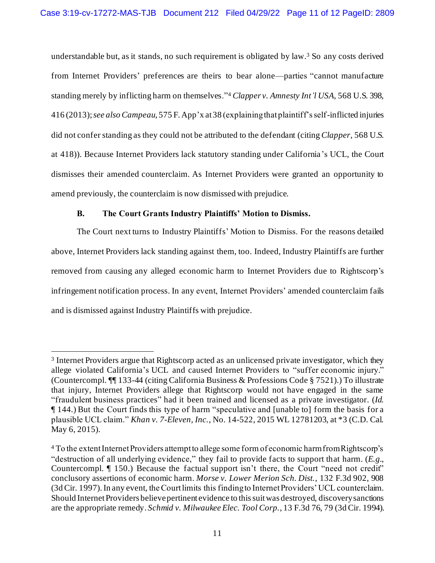understandable but, as it stands, no such requirement is obligated by law. <sup>3</sup> So any costs derived from Internet Providers' preferences are theirs to bear alone—parties "cannot manufacture standing merely by inflicting harm on themselves."<sup>4</sup> *Clapper v. Amnesty Int'l USA*, 568 U.S. 398, 416 (2013); *see also Campeau*, 575 F. App'x at38 (explaining that plaintiff's self-inflicted injuries did not confer standing as they could not be attributed to the defendant (citing *Clapper*, 568 U.S. at 418)). Because Internet Providers lack statutory standing under California's UCL, the Court dismisses their amended counterclaim. As Internet Providers were granted an opportunity to amend previously, the counterclaim is now dismissed with prejudice.

# **B. The Court Grants Industry Plaintiffs' Motion to Dismiss.**

The Court next turns to Industry Plaintiffs' Motion to Dismiss. For the reasons detailed above, Internet Providers lack standing against them, too. Indeed, Industry Plaintiffs are further removed from causing any alleged economic harm to Internet Providers due to Rightscorp's infringement notification process. In any event, Internet Providers' amended counterclaim fails and is dismissed against Industry Plaintiffs with prejudice.

<sup>&</sup>lt;sup>3</sup> Internet Providers argue that Rightscorp acted as an unlicensed private investigator, which they allege violated California's UCL and caused Internet Providers to "suffer economic injury." (Countercompl. ¶¶ 133-44 (citing California Business & Professions Code § 7521).) To illustrate that injury, Internet Providers allege that Rightscorp would not have engaged in the same "fraudulent business practices" had it been trained and licensed as a private investigator. (*Id.* ¶ 144.) But the Court finds this type of harm "speculative and [unable to] form the basis for a plausible UCL claim." *Khan v. 7-Eleven, Inc.*, No. 14-522, 2015 WL 12781203, at \*3 (C.D. Cal. May 6, 2015).

<sup>4</sup> To the extent Internet Providers attempt to allege some form of economic harm from Rightscorp's "destruction of all underlying evidence," they fail to provide facts to support that harm. (*E.g.*, Countercompl. ¶ 150.) Because the factual support isn't there, the Court "need not credit" conclusory assertions of economic harm. *Morse v. Lower Merion Sch. Dist.*, 132 F.3d 902, 908 (3d Cir. 1997). In any event, the Court limits this finding to Internet Providers' UCL counterclaim. Should Internet Providers believepertinent evidence to this suit was destroyed, discovery sanctions are the appropriate remedy. *Schmid v. Milwaukee Elec. Tool Corp.*, 13 F.3d 76, 79 (3d Cir. 1994).